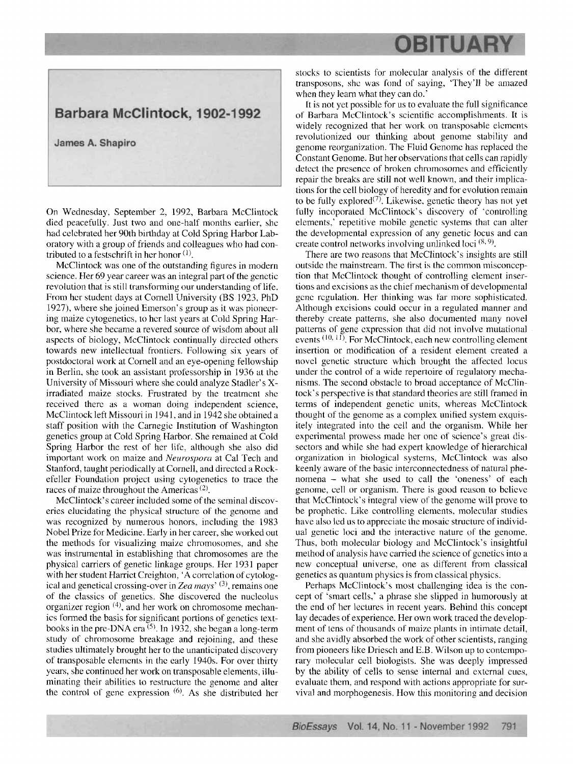## **OBITUARY**

## Barbara McClintock, 1902-1992

James A. Shapiro

On Wednesday, September 2, 1992, Barbara McClintock died peacefully. Just two and one-half months earlier, shc had celebrated her 90th birthday at Cold Spring Harbor Laboratory with a group of friends and colleagues who had contributed to a festschrift in her honor  $(1)$ .

McClintock was one of the outstanding figures in modern science. Her 69 year career was an integral part of the genetic revolution that is still transforming our understanding of life. From her student days at Cornell University (BS 1923, PhD 1927), where she joined Emerson's group as it was pioneering maize cytogenetics, to her last years at Cold Spring Harbor, where she became a revered source of wisdom about all aspects of biology, McClintock continually directed others towards new intellectual frontiers. Following **six** years of postdoctoral work at Cornell and an eye-opening fellowship in Berlin, she took an assistant professorship in 1936 at the University of Missouri where she could analyze Stadler's Xirradiated maize stocks. Frustrated by the treatment she received there as a woman doing independent science, McClintock left Missouri in 1941. and in 1942 she obtained a staff position with the Carnegie Institution of Washington genetics group at Cold Spring Harbor. She remained at Cold Spring Harbor the rest of her life, although she also did important work on maize and *Neurospora* at Cal Tech and Stanford, taught periodically at Cornell, and directcd a Rockefeller Foundation project using cytogenetics to trace the races of maize throughout the Americas<sup> $(2)$ </sup>.

McClintock's career included some of the seminal discoveries elucidating the physical structure of the genome and was recognized by numerous honors. including the 1983 Nobel Prize for Medicine. Early in her career, she worked out the methods for visualizing maizc chromosomes, and she was instrumental in establishing that chromosomes are the physical carriers of genetic linkage groups. Her 1931 paper with her student Harriet Creighton, 'A correlation of cytological and genetical crossing-over in *Zea mays'* (3), remains one of the classics of genetics. She discovered the nucleolus organizer region  $(4)$ , and her work on chromosome mechanics formed the basis for significant portions of genetics textbooks in the pre-DNA era  $\overline{5}$ . In 1932, she began a long-term study of chromosome breakage and rejoining, and these studies ultimately brought her to the unanticipated discovery of transposable elements in the early 1940s. For over thirty years, she continued her work on transposable elements, illuminating their abilities to restructure the genome and alter the control **of** gene expression *(6).* **As** she distributed her

stocks to scientists for molecular analysis of the different transposons, shc was fond of saying, 'They'll be amazed when they learn what they can do.'

It is not yet possible for us to evaluate the full significance of Barbara McClintock's scientific accomplishments. It is widely recognized that her work on transposable elements revolutionized our thinking about genome stability and genome reorganization. The Fluid Genome has replaced the Constant Genome. But her observations that cells can rapidly detect the presence of broken chromosomes and efficiently repair the breaks are still not well known, and their implications for the cell biology of heredity and for evolution remain to be fully explored<sup>(7)</sup>. Likewise, genetic theory has not yet fully incoporated McClintock's discovery of 'controlling elements,' repetitive mobile genetic systems that can alter the developmental expression of any genetic locus and can create control networks involving unlinked loci<sup>(8,9)</sup>.

There are two reasons that McClintock's insights are still outside the mainstream. The first is the common misconception that McClintock thought of controlling element insertions and excisions as the chief mechanism of developmental gcnc rcgulation. Her thinking was far more sophisticated. Although excisions could occur in a regulated manner and thereby create patterns, she also documented many novel patterns of gene cxprcssion that did not involve mulational events  $(10, 11)$ . For McClintock, each new controlling element insertion or modification of a resident element created a novel genetic structure which brought the affected locus under the control of a wide repertoire of regulatory mechanisms. The second obstacle to broad acceptance of McClintock's perspective is that standard theories are still framed in ternis of independent genetic units. whereas McClintock thought of the genome as a complex unified system exquisitely integrated into the cell and the organism. While her experimental prowess made her one of science's great dissectors and while she had expert knowledge of hierarchical organization in biological systems, McClintock was also keenly aware of the basic interconnectedness of natural phenomena - what she used to call the 'oneness' of each genome, cell or organism. There is good reason to bclicvc that McClintock's integral view of the genome will prove to be prophetic. Like controlling elements, molecular studies have also led us to appreciate the mosaic structure of individual genetic loci and the interactive nature of the genome. Thus, both molecular biology and McClintock's insightful method of analysis have carried the science of genetics into a new conceptual universe, one as different from classical genetics as quantum physics is from classical physics.

Perhaps McClinlock's most challenging idea is the concept of 'smart cells,' a phrase she slipped in humorously at the end of her lectures in recent years. Behind this concept lay decades of experience. Her own work traced the development of tens of thousands of maize plants in intimate detail, and she avidly absorbed the work of other scientists. ranging from pioneers like Driesch and E.B. Wilson up to contemporary molecular cell biologists. She was deeply impressed by the ability of cells to sense internal and external cues, evaluate them, and respond with actions appropriate for survival and inorphogenesis. How this monitoring and decision